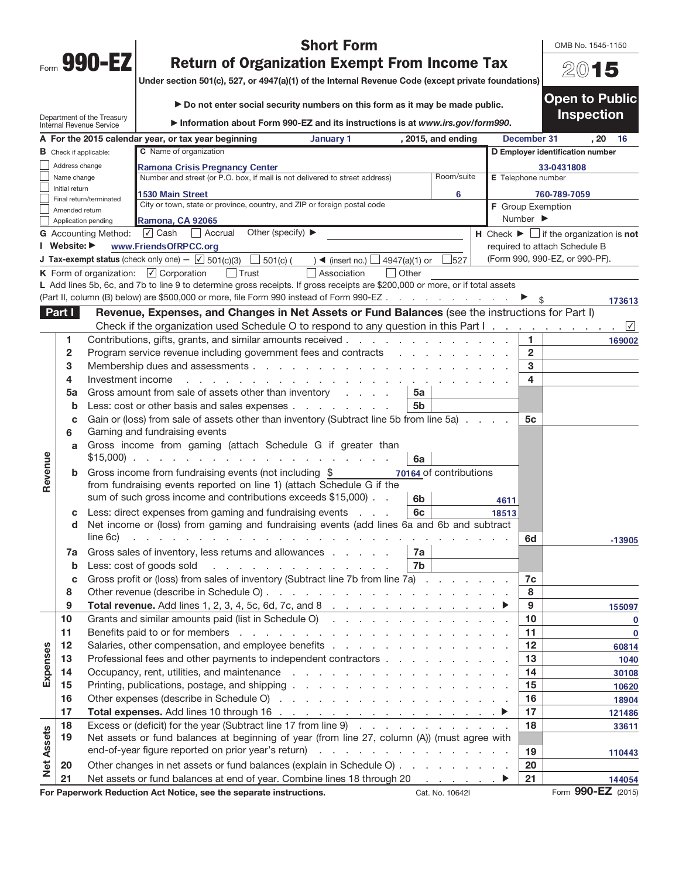| Form | <b>Land</b><br>п |  |
|------|------------------|--|
|      |                  |  |

 $\mathbf{I}$ 

Revenue

Expenses

Net Assets

**Net Assets** 

## Short Form

OMB No. 1545-1150

2015

## Return of Organization Exempt From Income Tax

 $\bigcup_{n=1}^{\infty}$  Under section 501(c), 527, or 4047(a)(1) of the Internal Revenue Code

|        |                                                               | Unider Section Julio, JZ7, UP 4947(a)(1) UP the internal revenue Code (except private foundations)                                                           |                    |                              |                                                                               |            |
|--------|---------------------------------------------------------------|--------------------------------------------------------------------------------------------------------------------------------------------------------------|--------------------|------------------------------|-------------------------------------------------------------------------------|------------|
|        | Department of the Treasury<br><b>Internal Revenue Service</b> | Do not enter social security numbers on this form as it may be made public.<br>Information about Form 990-EZ and its instructions is at www.irs.gov/form990. |                    |                              | <b>Open to Public</b><br><b>Inspection</b>                                    |            |
|        |                                                               | A For the 2015 calendar year, or tax year beginning<br>January 1                                                                                             | , 2015, and ending | December 31                  | , 20                                                                          | - 16       |
|        | <b>B</b> Check if applicable:                                 | <b>C</b> Name of organization                                                                                                                                |                    |                              | D Employer identification number                                              |            |
|        | Address change                                                | <b>Ramona Crisis Pregnancy Center</b>                                                                                                                        |                    |                              | 33-0431808                                                                    |            |
|        | Name change                                                   | Number and street (or P.O. box, if mail is not delivered to street address)                                                                                  | Room/suite         | E Telephone number           |                                                                               |            |
|        | Initial return                                                | <b>1530 Main Street</b>                                                                                                                                      | 6                  |                              | 760-789-7059                                                                  |            |
|        | Final return/terminated<br>Amended return                     | City or town, state or province, country, and ZIP or foreign postal code                                                                                     |                    | <b>F</b> Group Exemption     |                                                                               |            |
|        | Application pending                                           | Ramona, CA 92065                                                                                                                                             |                    | Number $\blacktriangleright$ |                                                                               |            |
|        | <b>G</b> Accounting Method:                                   | Other (specify) $\blacktriangleright$<br>l <b>√</b> Cash<br>Accrual<br>$\mathbf{1}$                                                                          |                    |                              | <b>H</b> Check $\blacktriangleright$ $\Box$ if the organization is <b>not</b> |            |
|        | I Website: ▶                                                  | www.FriendsOfRPCC.org                                                                                                                                        |                    |                              | required to attach Schedule B                                                 |            |
|        |                                                               | <b>J Tax-exempt status</b> (check only one) $-\sqrt{5}$ 501(c)(3)<br>501(c)(<br>4947(a)(1) or<br>$\blacktriangleleft$ (insert no.) $\lfloor$                 | 527                |                              | (Form 990, 990-EZ, or 990-PF).                                                |            |
|        |                                                               | <b>K</b> Form of organization: $\forall$ Corporation<br>Trust<br>Association<br>Other<br>$\mathbf{L}$                                                        |                    |                              |                                                                               |            |
|        |                                                               | L Add lines 5b, 6c, and 7b to line 9 to determine gross receipts. If gross receipts are \$200,000 or more, or if total assets                                |                    |                              |                                                                               |            |
|        |                                                               | (Part II, column (B) below) are \$500,000 or more, file Form 990 instead of Form 990-EZ ▶                                                                    |                    |                              |                                                                               | 173613     |
| Part I |                                                               | Revenue, Expenses, and Changes in Net Assets or Fund Balances (see the instructions for Part I)                                                              |                    |                              |                                                                               |            |
|        |                                                               |                                                                                                                                                              |                    |                              |                                                                               | $\sqrt{ }$ |
|        |                                                               | Contributions, gifts, grants, and similar amounts received                                                                                                   |                    |                              |                                                                               | 169002     |
|        |                                                               | Program service revenue including government fees and contracts                                                                                              |                    | $\mathbf{2}$                 |                                                                               |            |
|        | 3                                                             |                                                                                                                                                              |                    | 3                            |                                                                               |            |

4 Investment income . . . . . . . . . . . . . . . . . . . . . . . . . 4

c Gain or (loss) from sale of assets other than inventory (Subtract line 5b from line 5a)  $\ldots$ .

d Net income or (loss) from gaming and fundraising events (add lines 6a and 6b and subtract

line 6c) . . . . . . . . . . . . . . . . . . . . . . . . . . . . . 6d

c Gross profit or (loss) from sales of inventory (Subtract line 7b from line 7a)  $\ldots$  . . . . . . 7c 8 Other revenue (describe in Schedule O) . . . . . . . . . . . . . . . . . . . 8 9 Total revenue. Add lines 1, 2, 3, 4, 5c, 6d, 7c, and 8 . . . . . . . . . . . . . <sup>a</sup> 9

10 Grants and similar amounts paid (list in Schedule O)  $\ldots$  . . . . . . . . . . . . . 10 11 Benefits paid to or for members . . . . . . . . . . . . . . . . . . . . . 11 12 Salaries, other compensation, and employee benefits . . . . . . . . . . . . . . . . 12 13 Professional fees and other payments to independent contractors . . . . . . . . . . . 13 14 Occupancy, rent, utilities, and maintenance . . . . . . . . . . . . . . . . . . 14 15 Printing, publications, postage, and shipping  $\ldots$  . . . . . . . . . . . . . . . . . . 15 16 Other expenses (describe in Schedule O) . . . . . . . . . . . . . . . . . . 16 17 Total expenses. Add lines 10 through 16  $\ldots$  . . . . . . . . . . . . . . . .  $\blacktriangleright$  | 17

18 Excess or (deficit) for the year (Subtract line 17 from line 9) . . . . . . . . . . . . . 18 19 Net assets or fund balances at beginning of year (from line 27, column (A)) (must agree with

**5a** Gross amount from sale of assets other than inventory  $\cdot \cdot \cdot$ **b** Less: cost or other basis and sales expenses . . . . . . . .  $\vert$  5b

\$15,000) . . . . . . . . . . . . . . . . . . . . 6a

a Gross income from gaming (attach Schedule G if greater than

from fundraising events reported on line 1) (attach Schedule G if the sum of such gross income and contributions exceeds  $$15,000$ .  $\Box$  6b c Less: direct expenses from gaming and fundraising events  $\ldots$   $\blacksquare$ 

**7a** Gross sales of inventory, less returns and allowances  $\ldots$ ,  $\ldots$  | **7a b** Less: cost of goods sold  $\therefore$  . . . . . . . . . . . . . . . 7b

**b** Gross income from fundraising events (not including  $$$ 

end-of-year figure reported on prior year's return)  $\cdots$  . . . . . . . . . . . . . . . . . 19 20 Other changes in net assets or fund balances (explain in Schedule O)  $\ldots$ , . . . . . . . 20 21 Net assets or fund balances at end of year. Combine lines 18 through 20  $\ldots$   $\blacktriangleright$  | 21

For Paperwork Reduction Act Notice, see the separate instructions. Cat. No. 10642I Form 990-EZ (2015)

**6** Gaming and fundraising events

70164 of contributions

4611 18513

-13905

110443

144054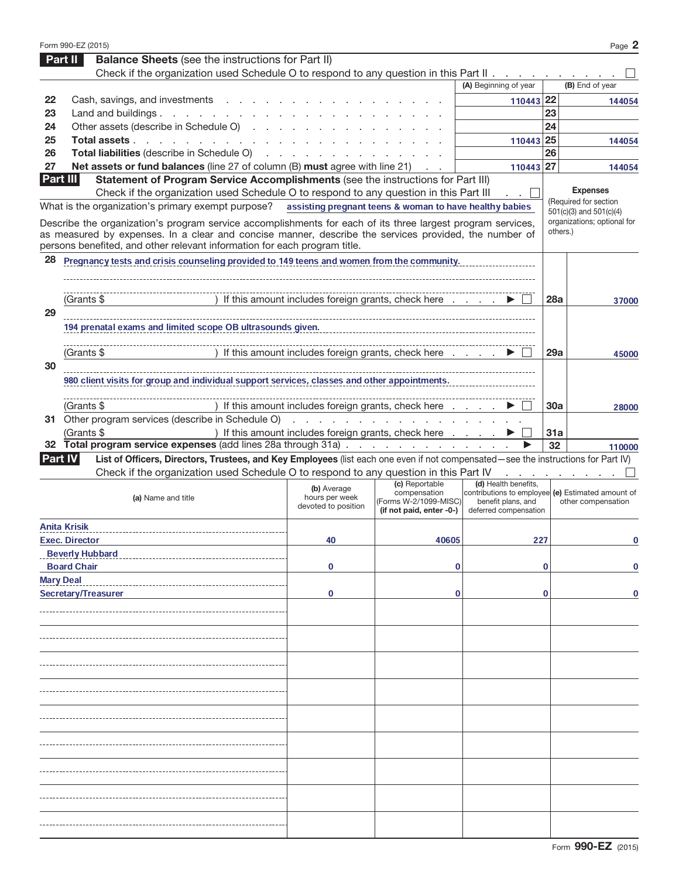|    | Form 990-EZ (2015)                                                                                                                                  |                                                                                                                                                                                                                                |                                                   |                                                   |            | Page 2                                               |
|----|-----------------------------------------------------------------------------------------------------------------------------------------------------|--------------------------------------------------------------------------------------------------------------------------------------------------------------------------------------------------------------------------------|---------------------------------------------------|---------------------------------------------------|------------|------------------------------------------------------|
|    | <b>Balance Sheets</b> (see the instructions for Part II)<br><b>Part II</b>                                                                          |                                                                                                                                                                                                                                |                                                   |                                                   |            |                                                      |
|    | Check if the organization used Schedule O to respond to any question in this Part II.                                                               |                                                                                                                                                                                                                                |                                                   |                                                   |            |                                                      |
|    |                                                                                                                                                     |                                                                                                                                                                                                                                |                                                   | (A) Beginning of year                             |            | (B) End of year                                      |
| 22 | Cash, savings, and investments                                                                                                                      |                                                                                                                                                                                                                                |                                                   | 110443 22                                         |            | 144054                                               |
| 23 | Land and buildings. $\cdot \cdot \cdot \cdot \cdot \cdot \cdot \cdot$                                                                               |                                                                                                                                                                                                                                |                                                   |                                                   | 23         |                                                      |
| 24 | Other assets (describe in Schedule O)<br><b>Contract Contract</b>                                                                                   |                                                                                                                                                                                                                                |                                                   |                                                   | 24         |                                                      |
| 25 | Total assets                                                                                                                                        |                                                                                                                                                                                                                                |                                                   | 110443 25                                         |            | 144054                                               |
| 26 | Total liabilities (describe in Schedule O)                                                                                                          |                                                                                                                                                                                                                                |                                                   |                                                   | 26         |                                                      |
| 27 | Net assets or fund balances (line 27 of column (B) must agree with line 21)                                                                         |                                                                                                                                                                                                                                |                                                   | 110443 27                                         |            | 144054                                               |
|    | Part III<br>Statement of Program Service Accomplishments (see the instructions for Part III)                                                        |                                                                                                                                                                                                                                |                                                   |                                                   |            |                                                      |
|    | Check if the organization used Schedule O to respond to any question in this Part III                                                               |                                                                                                                                                                                                                                |                                                   |                                                   |            | <b>Expenses</b>                                      |
|    | What is the organization's primary exempt purpose? assisting pregnant teens & woman to have healthy babies                                          |                                                                                                                                                                                                                                |                                                   |                                                   |            | (Required for section<br>$501(c)(3)$ and $501(c)(4)$ |
|    | Describe the organization's program service accomplishments for each of its three largest program services,                                         |                                                                                                                                                                                                                                |                                                   |                                                   |            | organizations; optional for                          |
|    | as measured by expenses. In a clear and concise manner, describe the services provided, the number of                                               |                                                                                                                                                                                                                                |                                                   |                                                   |            | others.)                                             |
|    | persons benefited, and other relevant information for each program title.                                                                           |                                                                                                                                                                                                                                |                                                   |                                                   |            |                                                      |
| 28 | Pregnancy tests and crisis counseling provided to 149 teens and women from the community.                                                           |                                                                                                                                                                                                                                |                                                   |                                                   |            |                                                      |
|    |                                                                                                                                                     |                                                                                                                                                                                                                                |                                                   |                                                   |            |                                                      |
|    |                                                                                                                                                     |                                                                                                                                                                                                                                |                                                   |                                                   |            |                                                      |
|    | (Grants \$                                                                                                                                          | If this amount includes foreign grants, check here                                                                                                                                                                             |                                                   |                                                   | 28a        | 37000                                                |
| 29 |                                                                                                                                                     |                                                                                                                                                                                                                                |                                                   |                                                   |            |                                                      |
|    | 194 prenatal exams and limited scope OB ultrasounds given.                                                                                          |                                                                                                                                                                                                                                |                                                   |                                                   |            |                                                      |
|    |                                                                                                                                                     |                                                                                                                                                                                                                                |                                                   |                                                   |            |                                                      |
|    | (Grants \$                                                                                                                                          | If this amount includes foreign grants, check here                                                                                                                                                                             |                                                   |                                                   | 29a        | 45000                                                |
| 30 |                                                                                                                                                     |                                                                                                                                                                                                                                |                                                   |                                                   |            |                                                      |
|    | 980 client visits for group and individual support services, classes and other appointments.                                                        |                                                                                                                                                                                                                                |                                                   |                                                   |            |                                                      |
|    |                                                                                                                                                     |                                                                                                                                                                                                                                |                                                   |                                                   |            |                                                      |
|    | (Grants \$                                                                                                                                          | If this amount includes foreign grants, check here                                                                                                                                                                             |                                                   |                                                   | <b>30a</b> | 28000                                                |
|    | 31 Other program services (describe in Schedule O)                                                                                                  | and the company of the company of the company of the company of the company of the company of the company of the company of the company of the company of the company of the company of the company of the company of the comp |                                                   |                                                   |            |                                                      |
|    | (Grants \$                                                                                                                                          | ) If this amount includes foreign grants, check here                                                                                                                                                                           |                                                   |                                                   | 31a        |                                                      |
| 32 | Total program service expenses (add lines 28a through 31a)                                                                                          |                                                                                                                                                                                                                                |                                                   |                                                   | 32         | 110000                                               |
|    | List of Officers, Directors, Trustees, and Key Employees (list each one even if not compensated—see the instructions for Part IV)<br><b>Part IV</b> |                                                                                                                                                                                                                                |                                                   |                                                   |            |                                                      |
|    | Check if the organization used Schedule O to respond to any question in this Part IV                                                                |                                                                                                                                                                                                                                |                                                   |                                                   |            |                                                      |
|    |                                                                                                                                                     |                                                                                                                                                                                                                                |                                                   |                                                   |            |                                                      |
|    |                                                                                                                                                     |                                                                                                                                                                                                                                | (c) Reportable                                    | (d) Health benefits.                              |            |                                                      |
|    | (a) Name and title                                                                                                                                  | (b) Average<br>hours per week                                                                                                                                                                                                  | compensation                                      | contributions to employee (e) Estimated amount of |            |                                                      |
|    |                                                                                                                                                     | devoted to position                                                                                                                                                                                                            | (Forms W-2/1099-MISC)<br>(if not paid, enter -0-) | benefit plans, and<br>deferred compensation       |            | other compensation                                   |
|    |                                                                                                                                                     |                                                                                                                                                                                                                                |                                                   |                                                   |            |                                                      |
|    | <b>Anita Krisik</b>                                                                                                                                 |                                                                                                                                                                                                                                |                                                   |                                                   |            |                                                      |
|    | <b>Exec. Director</b>                                                                                                                               | 40                                                                                                                                                                                                                             | 40605                                             | 227                                               |            | 0                                                    |
|    | <b>Beverly Hubbard</b>                                                                                                                              |                                                                                                                                                                                                                                |                                                   |                                                   |            |                                                      |
|    | <b>Board Chair</b>                                                                                                                                  | 0                                                                                                                                                                                                                              | 0                                                 |                                                   | 0          | 0                                                    |
|    | <b>Mary Deal</b>                                                                                                                                    |                                                                                                                                                                                                                                |                                                   |                                                   |            |                                                      |
|    | <b>Secretary/Treasurer</b>                                                                                                                          | 0                                                                                                                                                                                                                              | 0                                                 |                                                   | 0          | 0                                                    |
|    |                                                                                                                                                     |                                                                                                                                                                                                                                |                                                   |                                                   |            |                                                      |
|    |                                                                                                                                                     |                                                                                                                                                                                                                                |                                                   |                                                   |            |                                                      |
|    |                                                                                                                                                     |                                                                                                                                                                                                                                |                                                   |                                                   |            |                                                      |
|    |                                                                                                                                                     |                                                                                                                                                                                                                                |                                                   |                                                   |            |                                                      |
|    |                                                                                                                                                     |                                                                                                                                                                                                                                |                                                   |                                                   |            |                                                      |
|    |                                                                                                                                                     |                                                                                                                                                                                                                                |                                                   |                                                   |            |                                                      |
|    |                                                                                                                                                     |                                                                                                                                                                                                                                |                                                   |                                                   |            |                                                      |
|    |                                                                                                                                                     |                                                                                                                                                                                                                                |                                                   |                                                   |            |                                                      |
|    |                                                                                                                                                     |                                                                                                                                                                                                                                |                                                   |                                                   |            |                                                      |
|    |                                                                                                                                                     |                                                                                                                                                                                                                                |                                                   |                                                   |            |                                                      |
|    |                                                                                                                                                     |                                                                                                                                                                                                                                |                                                   |                                                   |            |                                                      |
|    |                                                                                                                                                     |                                                                                                                                                                                                                                |                                                   |                                                   |            |                                                      |
|    |                                                                                                                                                     |                                                                                                                                                                                                                                |                                                   |                                                   |            |                                                      |
|    |                                                                                                                                                     |                                                                                                                                                                                                                                |                                                   |                                                   |            |                                                      |
|    |                                                                                                                                                     |                                                                                                                                                                                                                                |                                                   |                                                   |            |                                                      |
|    |                                                                                                                                                     |                                                                                                                                                                                                                                |                                                   |                                                   |            |                                                      |
|    |                                                                                                                                                     |                                                                                                                                                                                                                                |                                                   |                                                   |            |                                                      |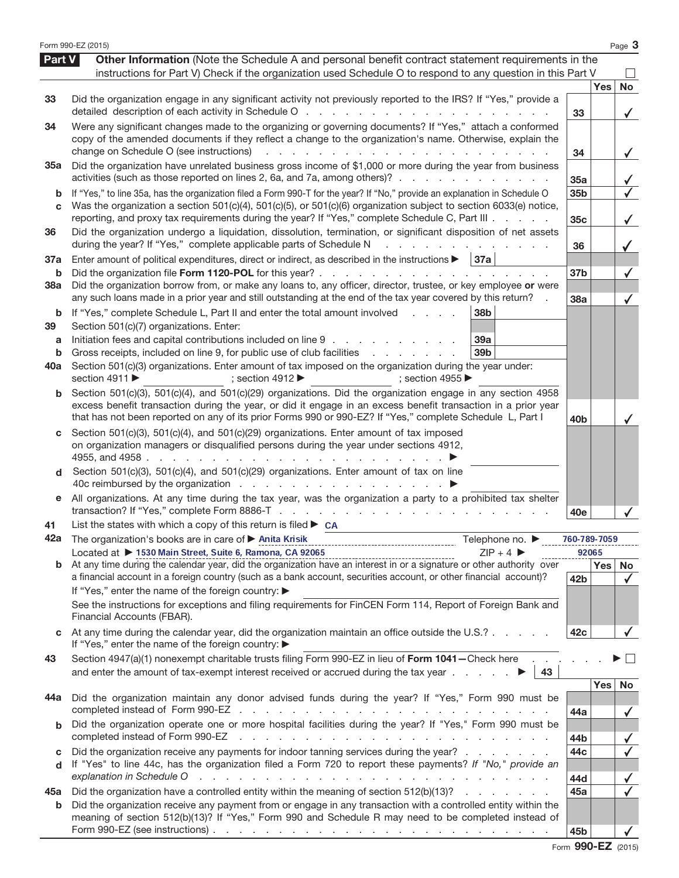|               | Form 990-EZ (2015)                                                                                                                                                                                                                                                                                                                                                             |                 |            | Page 3                                  |
|---------------|--------------------------------------------------------------------------------------------------------------------------------------------------------------------------------------------------------------------------------------------------------------------------------------------------------------------------------------------------------------------------------|-----------------|------------|-----------------------------------------|
| <b>Part V</b> | Other Information (Note the Schedule A and personal benefit contract statement requirements in the                                                                                                                                                                                                                                                                             |                 |            |                                         |
|               | instructions for Part V) Check if the organization used Schedule O to respond to any question in this Part V                                                                                                                                                                                                                                                                   |                 |            |                                         |
|               |                                                                                                                                                                                                                                                                                                                                                                                |                 | <b>Yes</b> | <b>No</b>                               |
| 33            | Did the organization engage in any significant activity not previously reported to the IRS? If "Yes," provide a                                                                                                                                                                                                                                                                | 33              |            | $\checkmark$                            |
| 34            | Were any significant changes made to the organizing or governing documents? If "Yes," attach a conformed                                                                                                                                                                                                                                                                       |                 |            |                                         |
|               | copy of the amended documents if they reflect a change to the organization's name. Otherwise, explain the<br>change on Schedule O (see instructions)<br>the contract of the contract of the contract of the contract of                                                                                                                                                        | 34              |            |                                         |
| <b>35a</b>    | Did the organization have unrelated business gross income of \$1,000 or more during the year from business                                                                                                                                                                                                                                                                     |                 |            | $\checkmark$                            |
|               | activities (such as those reported on lines 2, 6a, and 7a, among others)?                                                                                                                                                                                                                                                                                                      | 35a             |            |                                         |
| b             | If "Yes," to line 35a, has the organization filed a Form 990-T for the year? If "No," provide an explanation in Schedule O                                                                                                                                                                                                                                                     | 35 <sub>b</sub> |            | $\checkmark$                            |
| C             | Was the organization a section 501(c)(4), 501(c)(5), or 501(c)(6) organization subject to section 6033(e) notice,<br>reporting, and proxy tax requirements during the year? If "Yes," complete Schedule C, Part III                                                                                                                                                            | 35c             |            | $\checkmark$                            |
| 36            | Did the organization undergo a liquidation, dissolution, termination, or significant disposition of net assets<br>during the year? If "Yes," complete applicable parts of Schedule N<br>and a straightful contract and a                                                                                                                                                       | 36              |            |                                         |
| 37a           | Enter amount of political expenditures, direct or indirect, as described in the instructions $\blacktriangleright$   37a                                                                                                                                                                                                                                                       |                 |            |                                         |
| b             | Did the organization file Form 1120-POL for this year?                                                                                                                                                                                                                                                                                                                         | 37 <sub>b</sub> |            | $\checkmark$                            |
| 38a           | Did the organization borrow from, or make any loans to, any officer, director, trustee, or key employee or were<br>any such loans made in a prior year and still outstanding at the end of the tax year covered by this return? .                                                                                                                                              | 38a             |            | $\checkmark$                            |
| b             | If "Yes," complete Schedule L, Part II and enter the total amount involved<br>38 <sub>b</sub>                                                                                                                                                                                                                                                                                  |                 |            |                                         |
| 39            | Section 501(c)(7) organizations. Enter:                                                                                                                                                                                                                                                                                                                                        |                 |            |                                         |
| a             | Initiation fees and capital contributions included on line 9<br>39a                                                                                                                                                                                                                                                                                                            |                 |            |                                         |
| b             | Gross receipts, included on line 9, for public use of club facilities<br>39 <sub>b</sub>                                                                                                                                                                                                                                                                                       |                 |            |                                         |
| 40a           | Section 501(c)(3) organizations. Enter amount of tax imposed on the organization during the year under:<br>section 4911<br>; section $4912 \blacktriangleright$<br>; section 4955 $\blacktriangleright$                                                                                                                                                                        |                 |            |                                         |
| b             | Section 501(c)(3), 501(c)(4), and 501(c)(29) organizations. Did the organization engage in any section 4958                                                                                                                                                                                                                                                                    |                 |            |                                         |
|               | excess benefit transaction during the year, or did it engage in an excess benefit transaction in a prior year<br>that has not been reported on any of its prior Forms 990 or 990-EZ? If "Yes," complete Schedule L, Part I                                                                                                                                                     | 40 <sub>b</sub> |            |                                         |
| C             | Section 501(c)(3), 501(c)(4), and 501(c)(29) organizations. Enter amount of tax imposed                                                                                                                                                                                                                                                                                        |                 |            |                                         |
|               | on organization managers or disqualified persons during the year under sections 4912,                                                                                                                                                                                                                                                                                          |                 |            |                                         |
| d             | Section 501(c)(3), 501(c)(4), and 501(c)(29) organizations. Enter amount of tax on line                                                                                                                                                                                                                                                                                        |                 |            |                                         |
|               |                                                                                                                                                                                                                                                                                                                                                                                |                 |            |                                         |
| е             | All organizations. At any time during the tax year, was the organization a party to a prohibited tax shelter                                                                                                                                                                                                                                                                   | 40e             |            |                                         |
| 41            | List the states with which a copy of this return is filed $\triangleright$ CA                                                                                                                                                                                                                                                                                                  |                 |            |                                         |
| 42a           | The organization's books are in care of > Anita Krisik<br>Telephone no. ▶                                                                                                                                                                                                                                                                                                      | 760-789-7059    |            |                                         |
|               | Located at ▶ 1530 Main Street, Suite 6, Ramona, CA 92065<br>$ZIP + 4$                                                                                                                                                                                                                                                                                                          |                 | 92065      |                                         |
|               | Located at $\triangleright$ 1330 main Suret, Suret 6, Kamona, CA 32063<br>b At any time during the calendar year, did the organization have an interest in or a signature or other authority over<br>a financial account in a foreign country (such as a bank account, securities account, or other financial account)?                                                        | 42 <sub>b</sub> | Yes        | No<br>$\checkmark$                      |
|               | If "Yes," enter the name of the foreign country: ▶                                                                                                                                                                                                                                                                                                                             |                 |            |                                         |
|               | See the instructions for exceptions and filing requirements for FinCEN Form 114, Report of Foreign Bank and<br>Financial Accounts (FBAR).                                                                                                                                                                                                                                      |                 |            |                                         |
|               | At any time during the calendar year, did the organization maintain an office outside the U.S.?<br>If "Yes," enter the name of the foreign country: ▶                                                                                                                                                                                                                          | 42c             |            |                                         |
| 43            | Section 4947(a)(1) nonexempt charitable trusts filing Form 990-EZ in lieu of Form 1041-Check here<br>and enter the amount of tax-exempt interest received or accrued during the tax year $\ldots$ .<br>43                                                                                                                                                                      |                 |            |                                         |
|               |                                                                                                                                                                                                                                                                                                                                                                                |                 | Yes        | <b>No</b>                               |
| 44a           | Did the organization maintain any donor advised funds during the year? If "Yes," Form 990 must be                                                                                                                                                                                                                                                                              | 44a             |            | $\checkmark$                            |
| b             | Did the organization operate one or more hospital facilities during the year? If "Yes," Form 990 must be<br>completed instead of Form 990-EZ<br>and the company of the company of the company of the company of the company of the company of the company of the company of the company of the company of the company of the company of the company of the company of the comp |                 |            |                                         |
|               | Did the organization receive any payments for indoor tanning services during the year?                                                                                                                                                                                                                                                                                         | 44b<br>44c      |            | $\checkmark$<br>$\overline{\checkmark}$ |
| c<br>d        | If "Yes" to line 44c, has the organization filed a Form 720 to report these payments? If "No," provide an                                                                                                                                                                                                                                                                      |                 |            |                                         |
|               | explanation in Schedule O<br>a construction of the construction of the construction of the construction of the construction of the construction of the construction of the construction of the construction of the construction of the construction of the                                                                                                                     | 44d             |            | $\checkmark$                            |
| 45а           | Did the organization have a controlled entity within the meaning of section 512(b)(13)?                                                                                                                                                                                                                                                                                        | 45a             |            | $\checkmark$                            |
| b             | Did the organization receive any payment from or engage in any transaction with a controlled entity within the<br>meaning of section 512(b)(13)? If "Yes," Form 990 and Schedule R may need to be completed instead of<br>Form 990-EZ (see instructions) $\ldots$ $\ldots$ $\ldots$ $\ldots$ $\ldots$ $\ldots$ $\ldots$ $\ldots$ $\ldots$ $\ldots$ $\ldots$                    | 45b             |            |                                         |
|               |                                                                                                                                                                                                                                                                                                                                                                                |                 |            |                                         |